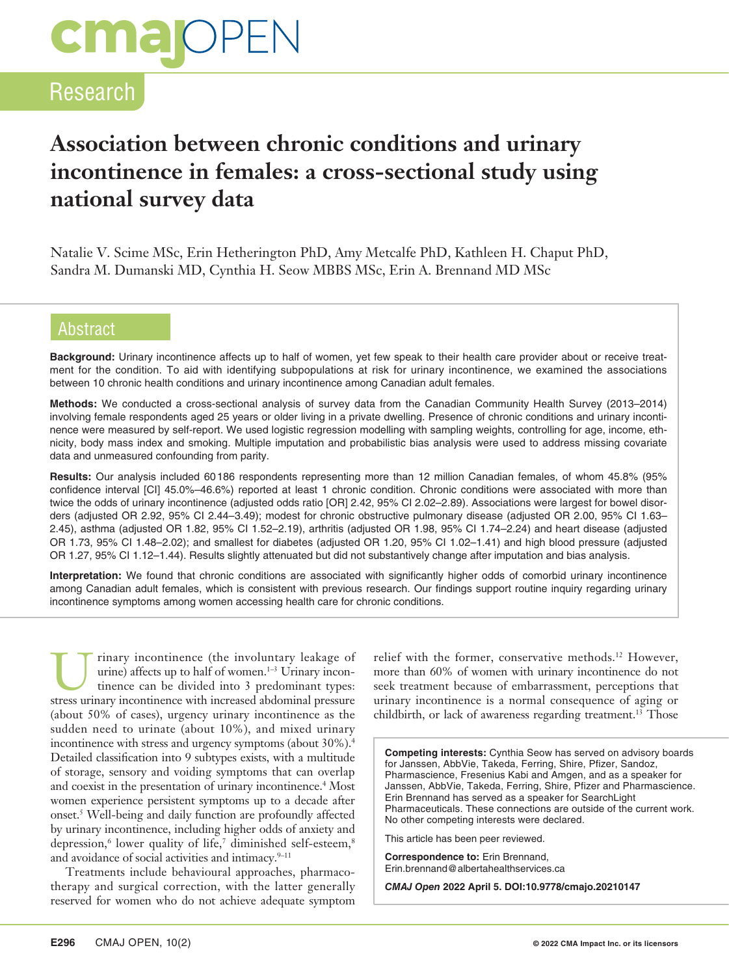# **cma** OPEN

### Research

## **Association between chronic conditions and urinary incontinence in females: a cross-sectional study using national survey data**

Natalie V. Scime MSc, Erin Hetherington PhD, Amy Metcalfe PhD, Kathleen H. Chaput PhD, Sandra M. Dumanski MD, Cynthia H. Seow MBBS MSc, Erin A. Brennand MD MSc

#### **Abstract**

**Background:** Urinary incontinence affects up to half of women, yet few speak to their health care provider about or receive treatment for the condition. To aid with identifying subpopulations at risk for urinary incontinence, we examined the associations between 10 chronic health conditions and urinary incontinence among Canadian adult females.

**Methods:** We conducted a cross-sectional analysis of survey data from the Canadian Community Health Survey (2013–2014) involving female respondents aged 25 years or older living in a private dwelling. Presence of chronic conditions and urinary incontinence were measured by self-report. We used logistic regression modelling with sampling weights, controlling for age, income, ethnicity, body mass index and smoking. Multiple imputation and probabilistic bias analysis were used to address missing covariate data and unmeasured confounding from parity.

**Results:** Our analysis included 60186 respondents representing more than 12 million Canadian females, of whom 45.8% (95% confidence interval [CI] 45.0%–46.6%) reported at least 1 chronic condition. Chronic conditions were associated with more than twice the odds of urinary incontinence (adjusted odds ratio [OR] 2.42, 95% CI 2.02–2.89). Associations were largest for bowel disorders (adjusted OR 2.92, 95% CI 2.44–3.49); modest for chronic obstructive pulmonary disease (adjusted OR 2.00, 95% CI 1.63– 2.45), asthma (adjusted OR 1.82, 95% CI 1.52–2.19), arthritis (adjusted OR 1.98, 95% CI 1.74–2.24) and heart disease (adjusted OR 1.73, 95% CI 1.48–2.02); and smallest for diabetes (adjusted OR 1.20, 95% CI 1.02–1.41) and high blood pressure (adjusted OR 1.27, 95% CI 1.12–1.44). Results slightly attenuated but did not substantively change after imputation and bias analysis.

**Interpretation:** We found that chronic conditions are associated with significantly higher odds of comorbid urinary incontinence among Canadian adult females, which is consistent with previous research. Our findings support routine inquiry regarding urinary incontinence symptoms among women accessing health care for chronic conditions.

rinary incontinence (the involuntary leakage of urine) affects up to half of women.<sup>1-3</sup> Urinary incontinence can be divided into 3 predominant types: stress urinary incontinence with increased abdominal pressure (about 50% of cases), urgency urinary incontinence as the sudden need to urinate (about 10%), and mixed urinary incontinence with stress and urgency symptoms (about 30%).<sup>4</sup> Detailed classification into 9 subtypes exists, with a multitude of storage, sensory and voiding symptoms that can overlap and coexist in the presentation of urinary incontinence.<sup>4</sup> Most women experience persistent symptoms up to a decade after onset.5 Well-being and daily function are profoundly affected by urinary incontinence, including higher odds of anxiety and depression,<sup>6</sup> lower quality of life,<sup>7</sup> diminished self-esteem,<sup>8</sup> and avoidance of social activities and intimacy.<sup>9-11</sup>

Treatments include behavioural approaches, pharmacotherapy and surgical correction, with the latter generally reserved for women who do not achieve adequate symptom relief with the former, conservative methods.12 However, more than 60% of women with urinary incontinence do not seek treatment because of embarrassment, perceptions that urinary incontinence is a normal consequence of aging or childbirth, or lack of awareness regarding treatment.<sup>13</sup> Those

**Competing interests:** Cynthia Seow has served on advisory boards for Janssen, AbbVie, Takeda, Ferring, Shire, Pfizer, Sandoz, Pharmascience, Fresenius Kabi and Amgen, and as a speaker for Janssen, AbbVie, Takeda, Ferring, Shire, Pfizer and Pharmascience. Erin Brennand has served as a speaker for SearchLight Pharmaceuticals. These connections are outside of the current work. No other competing interests were declared.

This article has been peer reviewed.

**Correspondence to:** Erin Brennand, Erin.brennand@albertahealthservices.ca

*CMAJ Open* **2022 April 5. DOI:10.9778/cmajo.20210147**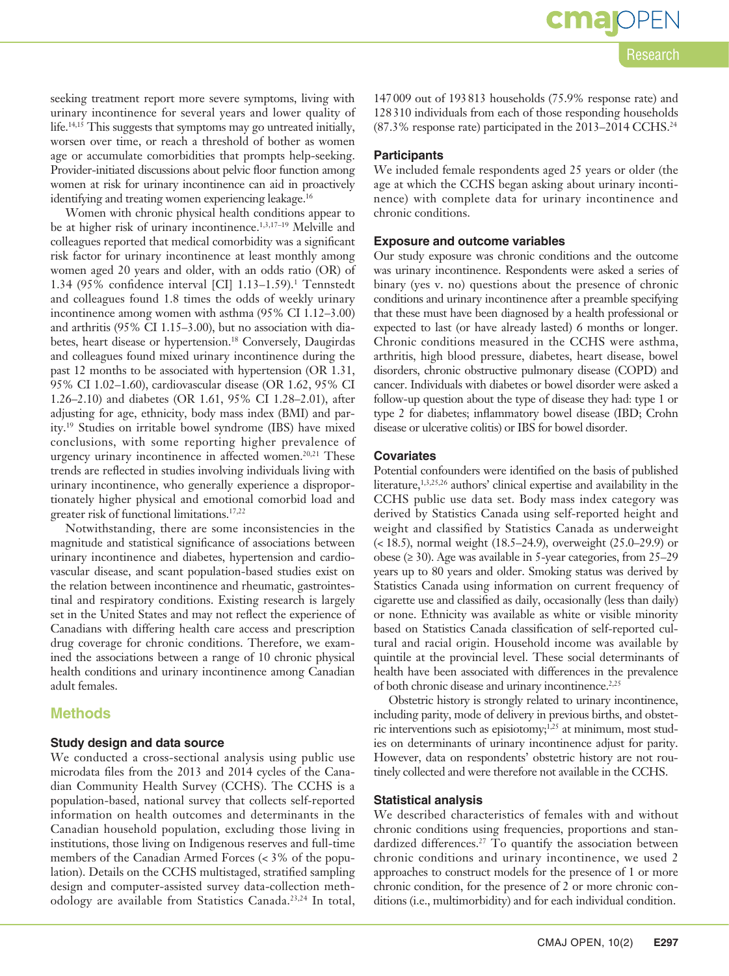seeking treatment report more severe symptoms, living with urinary incontinence for several years and lower quality of life.14,15 This suggests that symptoms may go untreated initially, worsen over time, or reach a threshold of bother as women age or accumulate comorbidities that prompts help-seeking. Provider-initiated discussions about pelvic floor function among women at risk for urinary incontinence can aid in proactively identifying and treating women experiencing leakage.<sup>16</sup>

Women with chronic physical health conditions appear to be at higher risk of urinary incontinence.<sup>1,3,17-19</sup> Melville and colleagues reported that medical comorbidity was a significant risk factor for urinary incontinence at least monthly among women aged 20 years and older, with an odds ratio (OR) of 1.34 (95% confidence interval [CI] 1.13–1.59).1 Tennstedt and colleagues found 1.8 times the odds of weekly urinary incontinence among women with asthma (95% CI 1.12–3.00) and arthritis (95% CI 1.15–3.00), but no association with diabetes, heart disease or hypertension.<sup>18</sup> Conversely, Daugirdas and colleagues found mixed urinary incontinence during the past 12 months to be associated with hypertension (OR 1.31, 95% CI 1.02–1.60), cardiovascular disease (OR 1.62, 95% CI 1.26–2.10) and diabetes (OR 1.61, 95% CI 1.28–2.01), after adjusting for age, ethnicity, body mass index (BMI) and parity.19 Studies on irritable bowel syndrome (IBS) have mixed conclusions, with some reporting higher prevalence of urgency urinary incontinence in affected women.<sup>20,21</sup> These trends are reflected in studies involving individuals living with urinary incontinence, who generally experience a disproportionately higher physical and emotional comorbid load and greater risk of functional limitations.17,22

Notwithstanding, there are some inconsistencies in the magnitude and statistical significance of associations between urinary incontinence and diabetes, hypertension and cardiovascular disease, and scant population-based studies exist on the relation between incontinence and rheumatic, gastrointestinal and respiratory conditions. Existing research is largely set in the United States and may not reflect the experience of Canadians with differing health care access and prescription drug coverage for chronic conditions. Therefore, we examined the associations between a range of 10 chronic physical health conditions and urinary incontinence among Canadian adult females.

#### **Methods**

#### **Study design and data source**

We conducted a cross-sectional analysis using public use microdata files from the 2013 and 2014 cycles of the Canadian Community Health Survey (CCHS). The CCHS is a population-based, national survey that collects self-reported information on health outcomes and determinants in the Canadian household population, excluding those living in institutions, those living on Indigenous reserves and full-time members of the Canadian Armed Forces (< 3% of the population). Details on the CCHS multistaged, stratified sampling design and computer-assisted survey data-collection methodology are available from Statistics Canada.23,24 In total,

**cma** 

147009 out of 193813 households (75.9% response rate) and 128310 individuals from each of those responding households (87.3% response rate) participated in the 2013–2014 CCHS.24

#### **Participants**

We included female respondents aged 25 years or older (the age at which the CCHS began asking about urinary incontinence) with complete data for urinary incontinence and chronic conditions.

#### **Exposure and outcome variables**

Our study exposure was chronic conditions and the outcome was urinary incontinence. Respondents were asked a series of binary (yes v. no) questions about the presence of chronic conditions and urinary incontinence after a preamble specifying that these must have been diagnosed by a health professional or expected to last (or have already lasted) 6 months or longer. Chronic conditions measured in the CCHS were asthma, arthritis, high blood pressure, diabetes, heart disease, bowel disorders, chronic obstructive pulmonary disease (COPD) and cancer. Individuals with diabetes or bowel disorder were asked a follow-up question about the type of disease they had: type 1 or type 2 for diabetes; inflammatory bowel disease (IBD; Crohn disease or ulcerative colitis) or IBS for bowel disorder.

#### **Covariates**

Potential confounders were identified on the basis of published literature,<sup>1,3,25,26</sup> authors' clinical expertise and availability in the CCHS public use data set. Body mass index category was derived by Statistics Canada using self-reported height and weight and classified by Statistics Canada as underweight (< 18.5), normal weight (18.5–24.9), overweight (25.0–29.9) or obese (≥ 30). Age was available in 5-year categories, from  $25-29$ years up to 80 years and older. Smoking status was derived by Statistics Canada using information on current frequency of cigarette use and classified as daily, occasionally (less than daily) or none. Ethnicity was available as white or visible minority based on Statistics Canada classification of self-reported cultural and racial origin. Household income was available by quintile at the provincial level. These social determinants of health have been associated with differences in the prevalence of both chronic disease and urinary incontinence.<sup>2,25</sup>

Obstetric history is strongly related to urinary incontinence, including parity, mode of delivery in previous births, and obstetric interventions such as episiotomy;<sup>1,25</sup> at minimum, most studies on determinants of urinary incontinence adjust for parity. However, data on respondents' obstetric history are not routinely collected and were therefore not available in the CCHS.

#### **Statistical analysis**

We described characteristics of females with and without chronic conditions using frequencies, proportions and standardized differences.<sup>27</sup> To quantify the association between chronic conditions and urinary incontinence, we used 2 approaches to construct models for the presence of 1 or more chronic condition, for the presence of 2 or more chronic conditions (i.e., multimorbidity) and for each individual condition.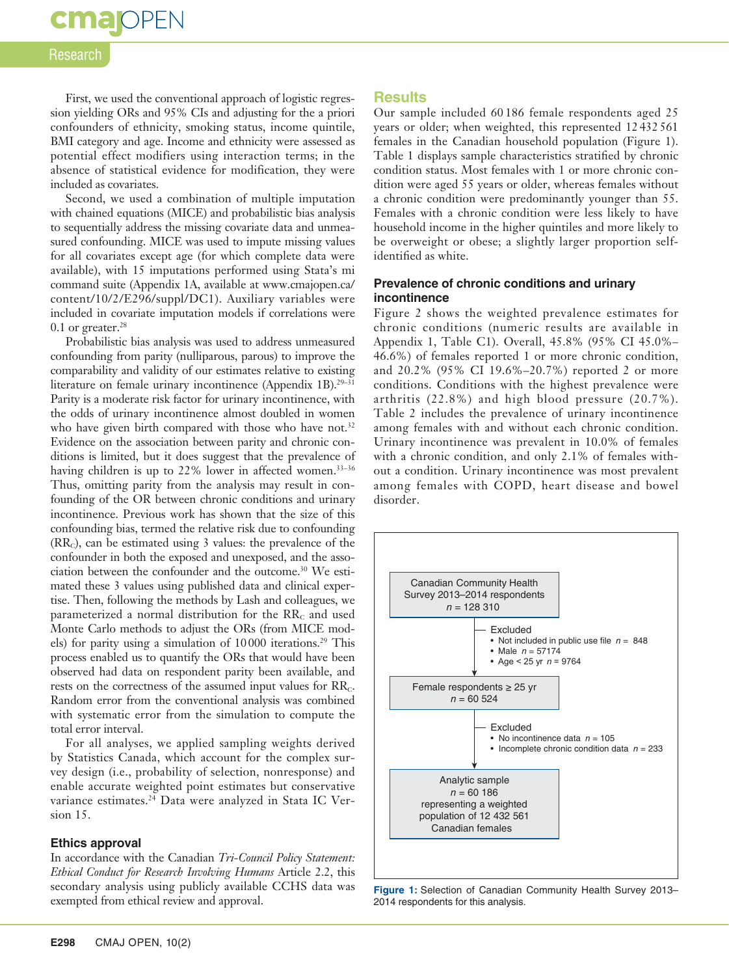## **cma** OPEN

#### **Research**

First, we used the conventional approach of logistic regression yielding ORs and 95% CIs and adjusting for the a priori confounders of ethnicity, smoking status, income quintile, BMI category and age. Income and ethnicity were assessed as potential effect modifiers using interaction terms; in the absence of statistical evidence for modification, they were included as covariates.

Second, we used a combination of multiple imputation with chained equations (MICE) and probabilistic bias analysis to sequentially address the missing covariate data and unmeasured confounding. MICE was used to impute missing values for all covariates except age (for which complete data were available), with 15 imputations performed using Stata's mi command suite (Appendix 1A, available at www.cmajopen.ca/ content/10/2/E296/suppl/DC1). Auxiliary variables were included in covariate imputation models if correlations were 0.1 or greater. $28$ 

Probabilistic bias analysis was used to address unmeasured confounding from parity (nulliparous, parous) to improve the comparability and validity of our estimates relative to existing literature on female urinary incontinence (Appendix 1B).<sup>29-31</sup> Parity is a moderate risk factor for urinary incontinence, with the odds of urinary incontinence almost doubled in women who have given birth compared with those who have not.<sup>32</sup> Evidence on the association between parity and chronic conditions is limited, but it does suggest that the prevalence of having children is up to 22% lower in affected women.<sup>33-36</sup> Thus, omitting parity from the analysis may result in confounding of the OR between chronic conditions and urinary incontinence. Previous work has shown that the size of this confounding bias, termed the relative risk due to confounding  $(RR<sub>c</sub>)$ , can be estimated using 3 values: the prevalence of the confounder in both the exposed and unexposed, and the association between the confounder and the outcome.30 We estimated these 3 values using published data and clinical expertise. Then, following the methods by Lash and colleagues, we parameterized a normal distribution for the  $RR<sub>c</sub>$  and used Monte Carlo methods to adjust the ORs (from MICE models) for parity using a simulation of 10000 iterations.<sup>29</sup> This process enabled us to quantify the ORs that would have been observed had data on respondent parity been available, and rests on the correctness of the assumed input values for  $RR<sub>c</sub>$ . Random error from the conventional analysis was combined with systematic error from the simulation to compute the total error interval.

For all analyses, we applied sampling weights derived by Statistics Canada, which account for the complex survey design (i.e., probability of selection, nonresponse) and enable accurate weighted point estimates but conservative variance estimates.24 Data were analyzed in Stata IC Version 15.

#### **Ethics approval**

In accordance with the Canadian *Tri-Council Policy Statement: Ethical Conduct for Research Involving Humans* Article 2.2, this secondary analysis using publicly available CCHS data was exempted from ethical review and approval.

#### **Results**

Our sample included 60 186 female respondents aged 25 years or older; when weighted, this represented 12 432 561 females in the Canadian household population (Figure 1). Table 1 displays sample characteristics stratified by chronic condition status. Most females with 1 or more chronic condition were aged 55 years or older, whereas females without a chronic condition were predominantly younger than 55. Females with a chronic condition were less likely to have household income in the higher quintiles and more likely to be overweight or obese; a slightly larger proportion selfidentified as white.

#### **Prevalence of chronic conditions and urinary incontinence**

Figure 2 shows the weighted prevalence estimates for chronic conditions (numeric results are available in Appendix 1, Table C1). Overall, 45.8% (95% CI 45.0%– 46.6%) of females reported 1 or more chronic condition, and 20.2% (95% CI 19.6%–20.7%) reported 2 or more conditions. Conditions with the highest prevalence were arthritis (22.8%) and high blood pressure (20.7%). Table 2 includes the prevalence of urinary incontinence among females with and without each chronic condition. Urinary incontinence was prevalent in 10.0% of females with a chronic condition, and only 2.1% of females without a condition. Urinary incontinence was most prevalent among females with COPD, heart disease and bowel disorder.



**Figure 1:** Selection of Canadian Community Health Survey 2013– 2014 respondents for this analysis.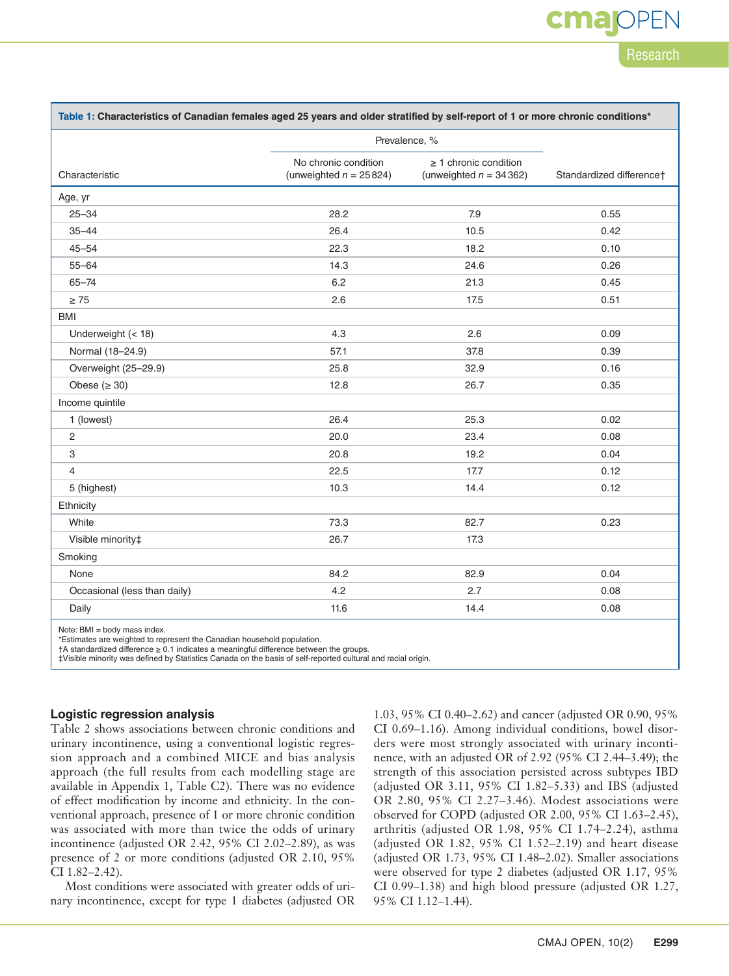### cmar Research

| Table 1: Characteristics of Canadian females aged 25 years and older stratified by self-report of 1 or more chronic conditions* |                                                   |                                                         |                          |  |  |
|---------------------------------------------------------------------------------------------------------------------------------|---------------------------------------------------|---------------------------------------------------------|--------------------------|--|--|
|                                                                                                                                 | Prevalence, %                                     |                                                         |                          |  |  |
| Characteristic                                                                                                                  | No chronic condition<br>(unweighted $n = 25824$ ) | $\geq$ 1 chronic condition<br>(unweighted $n = 34362$ ) | Standardized differencet |  |  |
| Age, yr                                                                                                                         |                                                   |                                                         |                          |  |  |
| $25 - 34$                                                                                                                       | 28.2                                              | 7.9                                                     | 0.55                     |  |  |
| $35 - 44$                                                                                                                       | 26.4                                              | 10.5                                                    | 0.42                     |  |  |
| $45 - 54$                                                                                                                       | 22.3                                              | 18.2                                                    | 0.10                     |  |  |
| $55 - 64$                                                                                                                       | 14.3                                              | 24.6                                                    | 0.26                     |  |  |
| $65 - 74$                                                                                                                       | 6.2                                               | 21.3                                                    | 0.45                     |  |  |
| $\geq 75$                                                                                                                       | 2.6                                               | 17.5                                                    | 0.51                     |  |  |
| <b>BMI</b>                                                                                                                      |                                                   |                                                         |                          |  |  |
| Underweight (< 18)                                                                                                              | 4.3                                               | 2.6                                                     | 0.09                     |  |  |
| Normal (18-24.9)                                                                                                                | 57.1                                              | 37.8                                                    | 0.39                     |  |  |
| Overweight (25-29.9)                                                                                                            | 25.8                                              | 32.9                                                    | 0.16                     |  |  |
| Obese $(≥ 30)$                                                                                                                  | 12.8                                              | 26.7                                                    | 0.35                     |  |  |
| Income quintile                                                                                                                 |                                                   |                                                         |                          |  |  |
| 1 (lowest)                                                                                                                      | 26.4                                              | 25.3                                                    | 0.02                     |  |  |
| 2                                                                                                                               | 20.0                                              | 23.4                                                    | 0.08                     |  |  |
| 3                                                                                                                               | 20.8                                              | 19.2                                                    | 0.04                     |  |  |
| 4                                                                                                                               | 22.5                                              | 17.7                                                    | 0.12                     |  |  |
| 5 (highest)                                                                                                                     | 10.3                                              | 14.4                                                    | 0.12                     |  |  |
| Ethnicity                                                                                                                       |                                                   |                                                         |                          |  |  |
| White                                                                                                                           | 73.3                                              | 82.7                                                    | 0.23                     |  |  |
| Visible minority‡                                                                                                               | 26.7                                              | 17.3                                                    |                          |  |  |
| Smoking                                                                                                                         |                                                   |                                                         |                          |  |  |
| None                                                                                                                            | 84.2                                              | 82.9                                                    | 0.04                     |  |  |
| Occasional (less than daily)                                                                                                    | 4.2                                               | 2.7                                                     | 0.08                     |  |  |
| Daily                                                                                                                           | 11.6                                              | 14.4                                                    | 0.08                     |  |  |
| $\cdots$                                                                                                                        |                                                   |                                                         |                          |  |  |

Note: BMI = body mass index.

\*Estimates are weighted to represent the Canadian household population.

†A standardized difference ≥ 0.1 indicates a meaningful difference between the groups.

‡Visible minority was defined by Statistics Canada on the basis of self-reported cultural and racial origin.

#### **Logistic regression analysis**

Table 2 shows associations between chronic conditions and urinary incontinence, using a conventional logistic regression approach and a combined MICE and bias analysis approach (the full results from each modelling stage are available in Appendix 1, Table C2). There was no evidence of effect modification by income and ethnicity. In the conventional approach, presence of 1 or more chronic condition was associated with more than twice the odds of urinary incontinence (adjusted OR 2.42, 95% CI 2.02–2.89), as was presence of 2 or more conditions (adjusted OR 2.10, 95% CI 1.82–2.42).

Most conditions were associated with greater odds of urinary incontinence, except for type 1 diabetes (adjusted OR 1.03, 95% CI 0.40–2.62) and cancer (adjusted OR 0.90, 95% CI 0.69–1.16). Among individual conditions, bowel disorders were most strongly associated with urinary incontinence, with an adjusted OR of 2.92 (95% CI 2.44–3.49); the strength of this association persisted across subtypes IBD (adjusted OR 3.11, 95% CI 1.82–5.33) and IBS (adjusted OR 2.80, 95% CI 2.27–3.46). Modest associations were observed for COPD (adjusted OR 2.00, 95% CI 1.63–2.45), arthritis (adjusted OR 1.98, 95% CI 1.74–2.24), asthma (adjusted OR 1.82, 95% CI 1.52–2.19) and heart disease (adjusted OR 1.73, 95% CI 1.48–2.02). Smaller associations were observed for type 2 diabetes (adjusted OR 1.17, 95% CI 0.99–1.38) and high blood pressure (adjusted OR 1.27, 95% CI 1.12–1.44).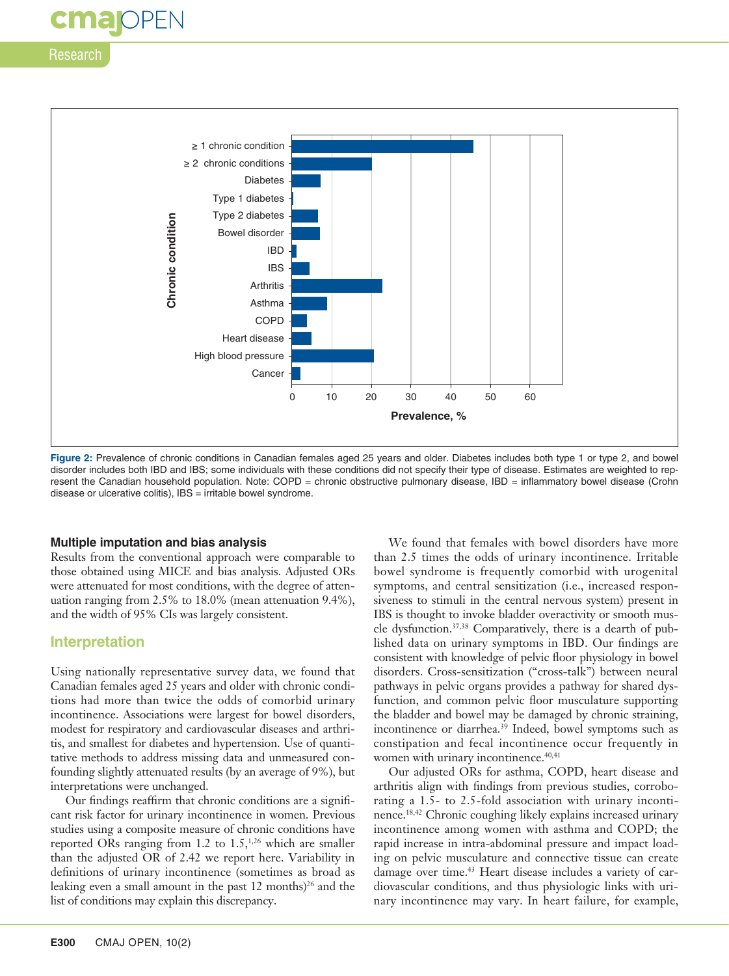

Figure 2: Prevalence of chronic conditions in Canadian females aged 25 years and older. Diabetes includes both type 1 or type 2, and bowel disorder includes both IBD and IBS; some individuals with these conditions did not specify their type of disease. Estimates are weighted to represent the Canadian household population. Note: COPD = chronic obstructive pulmonary disease, IBD = inflammatory bowel disease (Crohn disease or ulcerative colitis), IBS = irritable bowel syndrome.

#### **Multiple imputation and bias analysis**

Results from the conventional approach were comparable to those obtained using MICE and bias analysis. Adjusted ORs were attenuated for most conditions, with the degree of attenuation ranging from 2.5% to 18.0% (mean attenuation 9.4%), and the width of 95% CIs was largely consistent.

#### **Interpretation**

Using nationally representative survey data, we found that Canadian females aged 25 years and older with chronic conditions had more than twice the odds of comorbid urinary incontinence. Associations were largest for bowel disorders, modest for respiratory and cardiovascular diseases and arthritis, and smallest for diabetes and hypertension. Use of quantitative methods to address missing data and unmeasured confounding slightly attenuated results (by an average of 9%), but interpretations were unchanged.

Our findings reaffirm that chronic conditions are a significant risk factor for urinary incontinence in women. Previous studies using a composite measure of chronic conditions have reported ORs ranging from 1.2 to  $1.5$ ,<sup>1,26</sup> which are smaller than the adjusted OR of 2.42 we report here. Variability in definitions of urinary incontinence (sometimes as broad as leaking even a small amount in the past  $12$  months)<sup>26</sup> and the list of conditions may explain this discrepancy.

We found that females with bowel disorders have more than 2.5 times the odds of urinary incontinence. Irritable bowel syndrome is frequently comorbid with urogenital symptoms, and central sensitization (i.e., increased responsiveness to stimuli in the central nervous system) present in IBS is thought to invoke bladder overactivity or smooth muscle dysfunction.37,38 Comparatively, there is a dearth of published data on urinary symptoms in IBD. Our findings are consistent with knowledge of pelvic floor physiology in bowel disorders. Cross-sensitization ("cross-talk") between neural pathways in pelvic organs provides a pathway for shared dysfunction, and common pelvic floor musculature supporting the bladder and bowel may be damaged by chronic straining, incontinence or diarrhea.39 Indeed, bowel symptoms such as constipation and fecal incontinence occur frequently in women with urinary incontinence.<sup>40,41</sup>

Our adjusted ORs for asthma, COPD, heart disease and arthritis align with findings from previous studies, corroborating a 1.5- to 2.5-fold association with urinary incontinence.18,42 Chronic coughing likely explains increased urinary incontinence among women with asthma and COPD; the rapid increase in intra-abdominal pressure and impact loading on pelvic musculature and connective tissue can create damage over time.<sup>43</sup> Heart disease includes a variety of cardiovascular conditions, and thus physiologic links with urinary incontinence may vary. In heart failure, for example,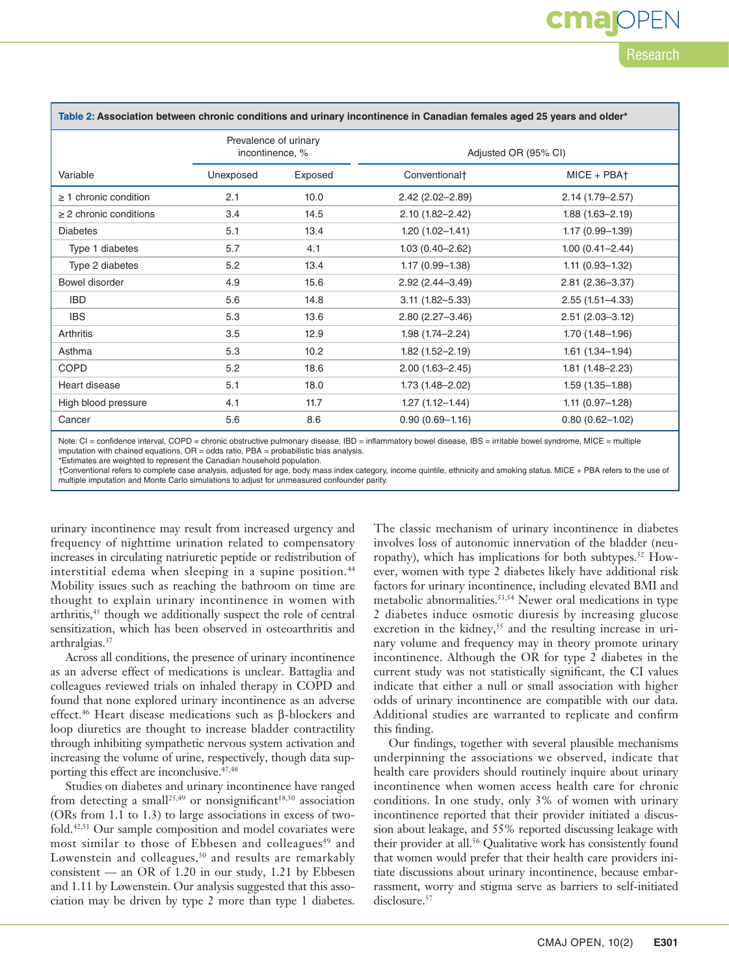### cma Research

| Table 2: Association between chronic conditions and urinary incontinence in Canadian females aged 25 years and older* |                                          |         |                           |                     |  |  |
|-----------------------------------------------------------------------------------------------------------------------|------------------------------------------|---------|---------------------------|---------------------|--|--|
|                                                                                                                       | Prevalence of urinary<br>incontinence, % |         | Adjusted OR (95% CI)      |                     |  |  |
| Variable                                                                                                              | Unexposed                                | Exposed | Conventional <sup>+</sup> | $MICE + PBA+$       |  |  |
| $\geq$ 1 chronic condition                                                                                            | 2.1                                      | 10.0    | $2.42(2.02 - 2.89)$       | 2.14 (1.79-2.57)    |  |  |
| $\geq$ 2 chronic conditions                                                                                           | 3.4                                      | 14.5    | $2.10(1.82 - 2.42)$       | $1.88(1.63 - 2.19)$ |  |  |
| <b>Diabetes</b>                                                                                                       | 5.1                                      | 13.4    | $1.20(1.02 - 1.41)$       | $1.17(0.99 - 1.39)$ |  |  |
| Type 1 diabetes                                                                                                       | 5.7                                      | 4.1     | $1.03(0.40 - 2.62)$       | $1.00(0.41 - 2.44)$ |  |  |
| Type 2 diabetes                                                                                                       | 5.2                                      | 13.4    | $1.17(0.99 - 1.38)$       | $1.11(0.93 - 1.32)$ |  |  |
| Bowel disorder                                                                                                        | 4.9                                      | 15.6    | $2.92(2.44 - 3.49)$       | $2.81(2.36 - 3.37)$ |  |  |
| <b>IBD</b>                                                                                                            | 5.6                                      | 14.8    | $3.11(1.82 - 5.33)$       | $2.55(1.51 - 4.33)$ |  |  |
| <b>IBS</b>                                                                                                            | 5.3                                      | 13.6    | $2.80(2.27 - 3.46)$       | $2.51(2.03 - 3.12)$ |  |  |
| Arthritis                                                                                                             | 3.5                                      | 12.9    | 1.98 (1.74-2.24)          | $1.70(1.48 - 1.96)$ |  |  |
| Asthma                                                                                                                | 5.3                                      | 10.2    | $1.82(1.52 - 2.19)$       | $1.61(1.34 - 1.94)$ |  |  |
| <b>COPD</b>                                                                                                           | 5.2                                      | 18.6    | $2.00(1.63 - 2.45)$       | $1.81(1.48 - 2.23)$ |  |  |
| Heart disease                                                                                                         | 5.1                                      | 18.0    | $1.73(1.48 - 2.02)$       | $1.59(1.35 - 1.88)$ |  |  |
| High blood pressure                                                                                                   | 4.1                                      | 11.7    | $1.27(1.12 - 1.44)$       | $1.11(0.97 - 1.28)$ |  |  |
| Cancer                                                                                                                | 5.6                                      | 8.6     | $0.90(0.69 - 1.16)$       | $0.80(0.62 - 1.02)$ |  |  |

Note: CI = confidence interval, COPD = chronic obstructive pulmonary disease, IBD = inflammatory bowel disease, IBS = irritable bowel syndrome, MICE = multiple imputation with chained equations, OR = odds ratio, PBA = probabilistic bias analysis.

\*Estimates are weighted to represent the Canadian household population.

†Conventional refers to complete case analysis, adjusted for age, body mass index category, income quintile, ethnicity and smoking status. MICE + PBA refers to the use of multiple imputation and Monte Carlo simulations to adjust for unmeasured confounder parity.

urinary incontinence may result from increased urgency and frequency of nighttime urination related to compensatory increases in circulating natriuretic peptide or redistribution of interstitial edema when sleeping in a supine position.<sup>44</sup> Mobility issues such as reaching the bathroom on time are thought to explain urinary incontinence in women with arthritis,<sup>45</sup> though we additionally suspect the role of central sensitization, which has been observed in osteoarthritis and arthralgias.37

Across all conditions, the presence of urinary incontinence as an adverse effect of medications is unclear. Battaglia and colleagues reviewed trials on inhaled therapy in COPD and found that none explored urinary incontinence as an adverse effect.46 Heart disease medications such as β-blockers and loop diuretics are thought to increase bladder contractility through inhibiting sympathetic nervous system activation and increasing the volume of urine, respectively, though data supporting this effect are inconclusive.<sup>47,48</sup>

Studies on diabetes and urinary incontinence have ranged from detecting a small<sup>25,49</sup> or nonsignificant<sup>18,50</sup> association (ORs from 1.1 to 1.3) to large associations in excess of twofold.42,51 Our sample composition and model covariates were most similar to those of Ebbesen and colleagues<sup>49</sup> and Løwenstein and colleagues,<sup>50</sup> and results are remarkably consistent — an OR of 1.20 in our study,  $1.21$  by Ebbesen and 1.11 by Løwenstein. Our analysis suggested that this association may be driven by type 2 more than type 1 diabetes.

The classic mechanism of urinary incontinence in diabetes involves loss of autonomic innervation of the bladder (neuropathy), which has implications for both subtypes.<sup>52</sup> However, women with type 2 diabetes likely have additional risk factors for urinary incontinence, including elevated BMI and metabolic abnormalities.53,54 Newer oral medications in type 2 diabetes induce osmotic diuresis by increasing glucose excretion in the kidney,<sup>55</sup> and the resulting increase in urinary volume and frequency may in theory promote urinary incontinence. Although the OR for type 2 diabetes in the current study was not statistically significant, the CI values indicate that either a null or small association with higher odds of urinary incontinence are compatible with our data. Additional studies are warranted to replicate and confirm this finding.

Our findings, together with several plausible mechanisms underpinning the associations we observed, indicate that health care providers should routinely inquire about urinary incontinence when women access health care for chronic conditions. In one study, only 3% of women with urinary incontinence reported that their provider initiated a discussion about leakage, and 55% reported discussing leakage with their provider at all.<sup>56</sup> Qualitative work has consistently found that women would prefer that their health care providers initiate discussions about urinary incontinence, because embarrassment, worry and stigma serve as barriers to self-initiated disclosure.<sup>57</sup>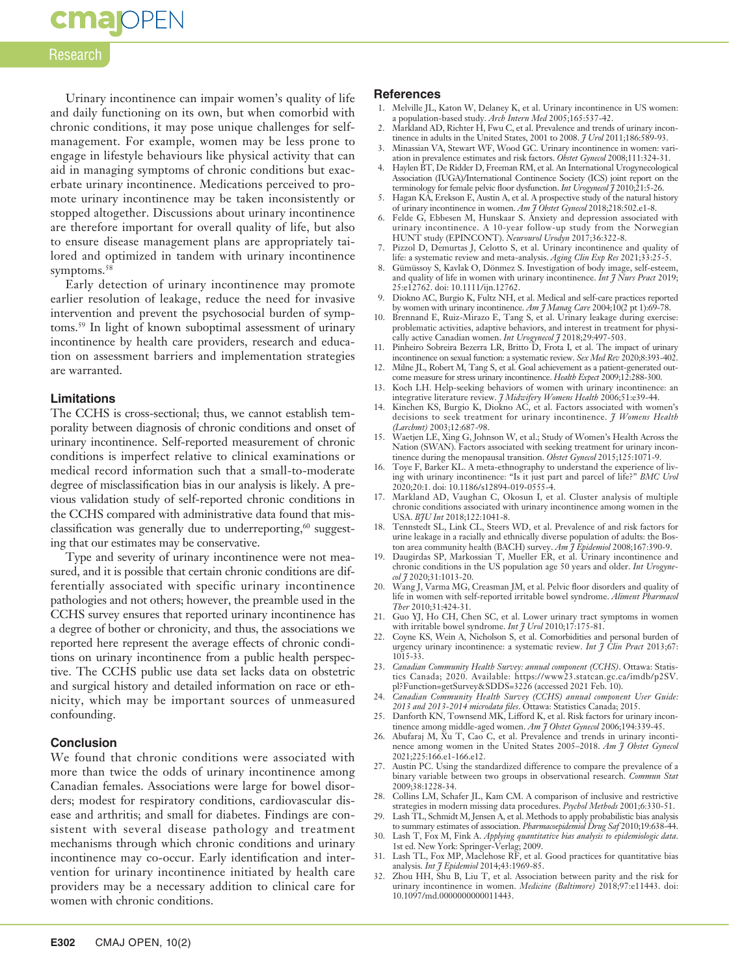## **cmajOPEN**

#### Research

Urinary incontinence can impair women's quality of life and daily functioning on its own, but when comorbid with chronic conditions, it may pose unique challenges for selfmanagement. For example, women may be less prone to engage in lifestyle behaviours like physical activity that can aid in managing symptoms of chronic conditions but exacerbate urinary incontinence. Medications perceived to promote urinary incontinence may be taken inconsistently or stopped altogether. Discussions about urinary incontinence are therefore important for overall quality of life, but also to ensure disease management plans are appropriately tailored and optimized in tandem with urinary incontinence symptoms.<sup>58</sup>

Early detection of urinary incontinence may promote earlier resolution of leakage, reduce the need for invasive intervention and prevent the psychosocial burden of symptoms.59 In light of known suboptimal assessment of urinary incontinence by health care providers, research and education on assessment barriers and implementation strategies are warranted.

#### **Limitations**

The CCHS is cross-sectional; thus, we cannot establish temporality between diagnosis of chronic conditions and onset of urinary incontinence. Self-reported measurement of chronic conditions is imperfect relative to clinical examinations or medical record information such that a small-to-moderate degree of misclassification bias in our analysis is likely. A previous validation study of self-reported chronic conditions in the CCHS compared with administrative data found that misclassification was generally due to underreporting, $60$  suggesting that our estimates may be conservative.

Type and severity of urinary incontinence were not measured, and it is possible that certain chronic conditions are differentially associated with specific urinary incontinence pathologies and not others; however, the preamble used in the CCHS survey ensures that reported urinary incontinence has a degree of bother or chronicity, and thus, the associations we reported here represent the average effects of chronic conditions on urinary incontinence from a public health perspective. The CCHS public use data set lacks data on obstetric and surgical history and detailed information on race or ethnicity, which may be important sources of unmeasured confounding.

#### **Conclusion**

We found that chronic conditions were associated with more than twice the odds of urinary incontinence among Canadian females. Associations were large for bowel disorders; modest for respiratory conditions, cardiovascular disease and arthritis; and small for diabetes. Findings are consistent with several disease pathology and treatment mechanisms through which chronic conditions and urinary incontinence may co-occur. Early identification and intervention for urinary incontinence initiated by health care providers may be a necessary addition to clinical care for women with chronic conditions.

#### **References**

- 1. Melville JL, Katon W, Delaney K, et al. Urinary incontinence in US women:
- a population-based study. *Arch Intern Med* 2005;165:537-42. 2. Markland AD, Richter H, Fwu C, et al. Prevalence and trends of urinary incontinence in adults in the United States, 2001 to 2008. *J Urol* 2011;186:589-93.
- 3. Minassian VA, Stewart WF, Wood GC. Urinary incontinence in women: variation in prevalence estimates and risk factors. *Obstet Gynecol* 2008;111:324-31.
- 4. Haylen BT, De Ridder D, Freeman RM, et al. An International Urogynecological Association (IUGA)/International Continence Society (ICS) joint report on the terminology for female pelvic floor dysfunction. *Int Urogynecol J* 2010;21:5-26.
- 5. Hagan KA, Erekson E, Austin A, et al. A prospective study of the natural history
- of urinary incontinence in women. *Am J Obstet Gynecol* 2018;218:502.e1-8. 6. Felde G, Ebbesen M, Hunskaar S. Anxiety and depression associated with urinary incontinence. A 10-year follow-up study from the Norwegian HUNT study (EPINCONT). *Neurourol Urodyn* 2017;36:322-8.
- 7. Pizzol D, Demurtas J, Celotto S, et al. Urinary incontinence and quality of life: a systematic review and meta-analysis. *Aging Clin Exp Res* 2021;33:25-5.
- 8. Gümüssoy S, Kavlak O, Dönmez S. Investigation of body image, self-esteem, and quality of life in women with urinary incontinence. *Int J Nurs Pract* 2019; 25:e12762. doi: 10.1111/ijn.12762.
- 9. Diokno AC, Burgio K, Fultz NH, et al. Medical and self-care practices reported by women with urinary incontinence. *Am J Manag Care* 2004;10(2 pt 1):69-78.
- 10. Brennand E, Ruiz-Mirazo E, Tang S, et al. Urinary leakage during exercise: problematic activities, adaptive behaviors, and interest in treatment for physically active Canadian women. *Int Urogynecol J* 2018;29:497-503.
- Pinheiro Sobreira Bezerra LR, Britto D, Frota I, et al. The impact of urinary incontinence on sexual function: a systematic review. *Sex Med Rev* 2020;8:393-402.
- 12. Milne JL, Robert M, Tang S, et al. Goal achievement as a patient-generated outcome measure for stress urinary incontinence. *Health Expect* 2009;12:288-300.
- 13. Koch LH. Help-seeking behaviors of women with urinary incontinence: an integrative literature review. *J Midwifery Womens Health* 2006;51:e39-44.
- 14. Kinchen KS, Burgio K, Diokno AC, et al. Factors associated with women's decisions to seek treatment for urinary incontinence. *J Womens Health (Larchmt)* 2003;12:687-98.
- 15. Waetjen LE, Xing G, Johnson W, et al.; Study of Women's Health Across the Nation (SWAN). Factors associated with seeking treatment for urinary incontinence during the menopausal transition. *Obstet Gynecol* 2015;125:1071-9.
- 16. Toye F, Barker KL. A meta-ethnography to understand the experience of living with urinary incontinence: "Is it just part and parcel of life?" *BMC Urol* 2020;20:1. doi: 10.1186/s12894-019-0555-4.
- 17. Markland AD, Vaughan C, Okosun I, et al. Cluster analysis of multiple chronic conditions associated with urinary incontinence among women in the USA. *BJU Int* 2018;122:1041-8.
- 18. Tennstedt SL, Link CL, Steers WD, et al. Prevalence of and risk factors for urine leakage in a racially and ethnically diverse population of adults: the Boston area community health (BACH) survey. *Am J Epidemiol* 2008;167:390-9.
- 19. Daugirdas SP, Markossian T, Mueller ER, et al. Urinary incontinence and chronic conditions in the US population age 50 years and older. *Int Urogynecol J* 2020;31:1013-20.
- 20. Wang J, Varma MG, Creasman JM, et al. Pelvic floor disorders and quality of life in women with self-reported irritable bowel syndrome. *Aliment Pharmacol Ther* 2010;31:424-31.
- 21. Guo YJ, Ho CH, Chen SC, et al. Lower urinary tract symptoms in women with irritable bowel syndrome. *Int J Urol* 2010;17:175-81.
- 22. Coyne KS, Wein A, Nicholson S, et al. Comorbidities and personal burden of urgency urinary incontinence: a systematic review. *Int J Clin Pract* 2013;67: 1015-33.
- 23. *Canadian Community Health Survey: annual component (CCHS)*. Ottawa: Statistics Canada; 2020. Available: https://www23.statcan.gc.ca/imdb/p2SV. pl?Function=getSurvey&SDDS=3226 (accessed 2021 Feb. 10).
- 24. *Canadian Community Health Survey (CCHS) annual component User Guide: 2013 and 2013-2014 microdata files*. Ottawa: Statistics Canada; 2015.
- 25. Danforth KN, Townsend MK, Lifford K, et al. Risk factors for urinary incontinence among middle-aged women. *Am J Obstet Gynecol* 2006;194:339-45.
- 26. Abufaraj M, Xu T, Cao C, et al. Prevalence and trends in urinary incontinence among women in the United States 2005–2018. *Am J Obstet Gynecol* 2021;225:166.e1-166.e12.
- 27. Austin PC. Using the standardized difference to compare the prevalence of a binary variable between two groups in observational research. *Commun Stat* 2009;38:1228-34.
- 28. Collins LM, Schafer JL, Kam CM. A comparison of inclusive and restrictive strategies in modern missing data procedures. *Psychol Methods* 2001;6:330-51.
- 29. Lash TL, Schmidt M, Jensen A, et al. Methods to apply probabilistic bias analysis to summary estimates of association. *Pharmacoepidemiol Drug Saf* 2010;19:638-44.
- 30. Lash T, Fox M, Fink A. *Applying quantitative bias analysis to epidemiologic data*. 1st ed. New York: Springer-Verlag; 2009.
- 31. Lash TL, Fox MP, Maclehose RF, et al. Good practices for quantitative bias analysis. *Int J Epidemiol* 2014;43:1969-85.
- $32.$  Zhou HH, Shu B, Liu T, et al. Association between parity and the risk for urinary incontinence in women. *Medicine (Baltimore)* 2018;97:e11443. doi: 10.1097/md.0000000000011443.